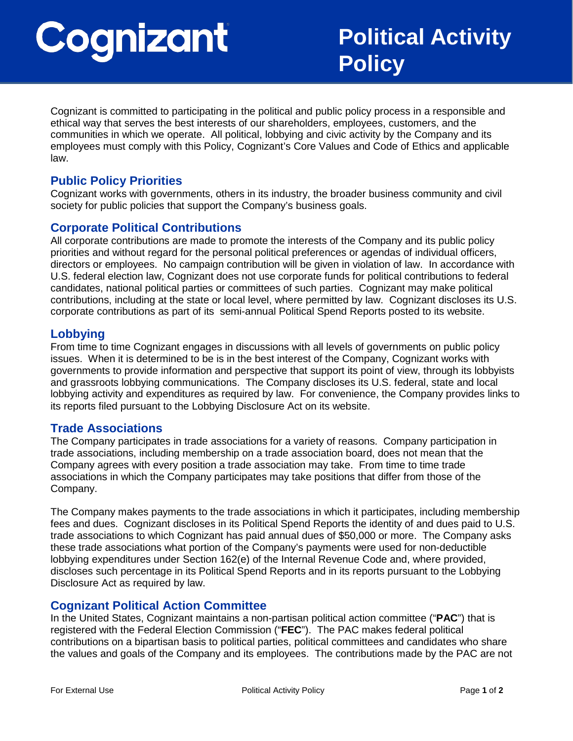# Cognizant

Cognizant is committed to participating in the political and public policy process in a responsible and ethical way that serves the best interests of our shareholders, employees, customers, and the communities in which we operate. All political, lobbying and civic activity by the Company and its employees must comply with this Policy, Cognizant's Core Values and Code of Ethics and applicable law.

# **Public Policy Priorities**

Cognizant works with governments, others in its industry, the broader business community and civil society for public policies that support the Company's business goals.

# **Corporate Political Contributions**

All corporate contributions are made to promote the interests of the Company and its public policy priorities and without regard for the personal political preferences or agendas of individual officers, directors or employees. No campaign contribution will be given in violation of law. In accordance with U.S. federal election law, Cognizant does not use corporate funds for political contributions to federal candidates, national political parties or committees of such parties. Cognizant may make political contributions, including at the state or local level, where permitted by law. Cognizant discloses its U.S. corporate contributions as part of its semi-annual Political Spend Reports posted to its website.

#### **Lobbying**

From time to time Cognizant engages in discussions with all levels of governments on public policy issues. When it is determined to be is in the best interest of the Company, Cognizant works with governments to provide information and perspective that support its point of view, through its lobbyists and grassroots lobbying communications. The Company discloses its U.S. federal, state and local lobbying activity and expenditures as required by law. For convenience, the Company provides links to its reports filed pursuant to the Lobbying Disclosure Act on its website.

## **Trade Associations**

The Company participates in trade associations for a variety of reasons. Company participation in trade associations, including membership on a trade association board, does not mean that the Company agrees with every position a trade association may take. From time to time trade associations in which the Company participates may take positions that differ from those of the Company.

The Company makes payments to the trade associations in which it participates, including membership fees and dues. Cognizant discloses in its Political Spend Reports the identity of and dues paid to U.S. trade associations to which Cognizant has paid annual dues of \$50,000 or more. The Company asks these trade associations what portion of the Company's payments were used for non-deductible lobbying expenditures under Section 162(e) of the Internal Revenue Code and, where provided, discloses such percentage in its Political Spend Reports and in its reports pursuant to the Lobbying Disclosure Act as required by law.

## **Cognizant Political Action Committee**

In the United States, Cognizant maintains a non-partisan political action committee ("**PAC**") that is registered with the Federal Election Commission ("**FEC**"). The PAC makes federal political contributions on a bipartisan basis to political parties, political committees and candidates who share the values and goals of the Company and its employees. The contributions made by the PAC are not